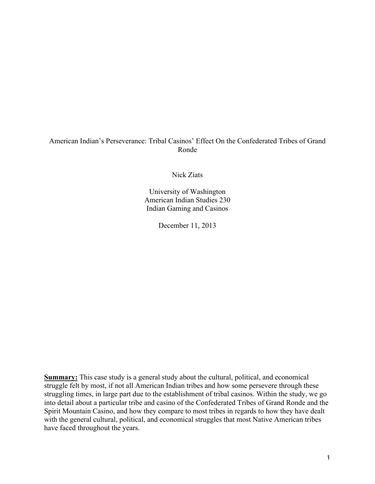# American Indian's Perseverance: Tribal Casinos' Effect On the Confederated Tribes of Grand Ronde

Nick Ziats

University of Washington American Indian Studies 230 Indian Gaming and Casinos

December 11, 2013

**Summary:** This case study is a general study about the cultural, political, and economical struggle felt by most, if not all American Indian tribes and how some persevere through these struggling times, in large part due to the establishment of tribal casinos. Within the study, we go into detail about a particular tribe and casino of the Confederated Tribes of Grand Ronde and the Spirit Mountain Casino, and how they compare to most tribes in regards to how they have dealt with the general cultural, political, and economical struggles that most Native American tribes have faced throughout the years.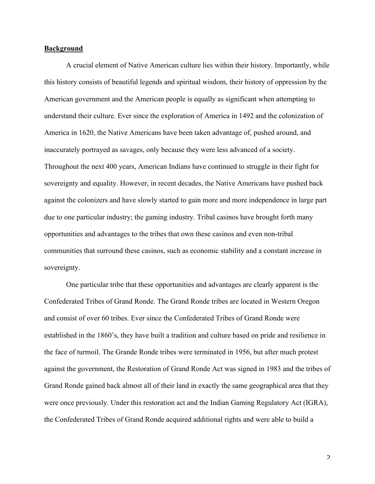## **Background**

A crucial element of Native American culture lies within their history. Importantly, while this history consists of beautiful legends and spiritual wisdom, their history of oppression by the American government and the American people is equally as significant when attempting to understand their culture. Ever since the exploration of America in 1492 and the colonization of America in 1620, the Native Americans have been taken advantage of, pushed around, and inaccurately portrayed as savages, only because they were less advanced of a society. Throughout the next 400 years, American Indians have continued to struggle in their fight for sovereignty and equality. However, in recent decades, the Native Americans have pushed back against the colonizers and have slowly started to gain more and more independence in large part due to one particular industry; the gaming industry. Tribal casinos have brought forth many opportunities and advantages to the tribes that own these casinos and even non-tribal communities that surround these casinos, such as economic stability and a constant increase in sovereignty.

One particular tribe that these opportunities and advantages are clearly apparent is the Confederated Tribes of Grand Ronde. The Grand Ronde tribes are located in Western Oregon and consist of over 60 tribes. Ever since the Confederated Tribes of Grand Ronde were established in the 1860's, they have built a tradition and culture based on pride and resilience in the face of turmoil. The Grande Ronde tribes were terminated in 1956, but after much protest against the government, the Restoration of Grand Ronde Act was signed in 1983 and the tribes of Grand Ronde gained back almost all of their land in exactly the same geographical area that they were once previously. Under this restoration act and the Indian Gaming Regulatory Act (IGRA), the Confederated Tribes of Grand Ronde acquired additional rights and were able to build a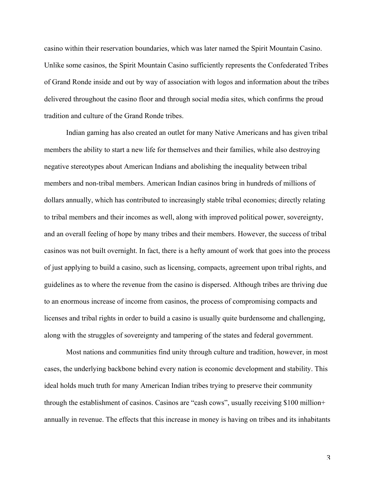casino within their reservation boundaries, which was later named the Spirit Mountain Casino. Unlike some casinos, the Spirit Mountain Casino sufficiently represents the Confederated Tribes of Grand Ronde inside and out by way of association with logos and information about the tribes delivered throughout the casino floor and through social media sites, which confirms the proud tradition and culture of the Grand Ronde tribes.

Indian gaming has also created an outlet for many Native Americans and has given tribal members the ability to start a new life for themselves and their families, while also destroying negative stereotypes about American Indians and abolishing the inequality between tribal members and non-tribal members. American Indian casinos bring in hundreds of millions of dollars annually, which has contributed to increasingly stable tribal economies; directly relating to tribal members and their incomes as well, along with improved political power, sovereignty, and an overall feeling of hope by many tribes and their members. However, the success of tribal casinos was not built overnight. In fact, there is a hefty amount of work that goes into the process of just applying to build a casino, such as licensing, compacts, agreement upon tribal rights, and guidelines as to where the revenue from the casino is dispersed. Although tribes are thriving due to an enormous increase of income from casinos, the process of compromising compacts and licenses and tribal rights in order to build a casino is usually quite burdensome and challenging, along with the struggles of sovereignty and tampering of the states and federal government.

Most nations and communities find unity through culture and tradition, however, in most cases, the underlying backbone behind every nation is economic development and stability. This ideal holds much truth for many American Indian tribes trying to preserve their community through the establishment of casinos. Casinos are "cash cows", usually receiving \$100 million+ annually in revenue. The effects that this increase in money is having on tribes and its inhabitants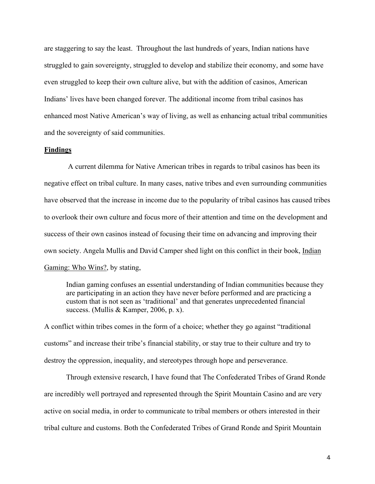are staggering to say the least. Throughout the last hundreds of years, Indian nations have struggled to gain sovereignty, struggled to develop and stabilize their economy, and some have even struggled to keep their own culture alive, but with the addition of casinos, American Indians' lives have been changed forever. The additional income from tribal casinos has enhanced most Native American's way of living, as well as enhancing actual tribal communities and the sovereignty of said communities.

## **Findings**

 A current dilemma for Native American tribes in regards to tribal casinos has been its negative effect on tribal culture. In many cases, native tribes and even surrounding communities have observed that the increase in income due to the popularity of tribal casinos has caused tribes to overlook their own culture and focus more of their attention and time on the development and success of their own casinos instead of focusing their time on advancing and improving their own society. Angela Mullis and David Camper shed light on this conflict in their book, Indian Gaming: Who Wins?, by stating,

Indian gaming confuses an essential understanding of Indian communities because they are participating in an action they have never before performed and are practicing a custom that is not seen as 'traditional' and that generates unprecedented financial success. (Mullis & Kamper, 2006, p. x).

A conflict within tribes comes in the form of a choice; whether they go against "traditional customs" and increase their tribe's financial stability, or stay true to their culture and try to destroy the oppression, inequality, and stereotypes through hope and perseverance.

Through extensive research, I have found that The Confederated Tribes of Grand Ronde are incredibly well portrayed and represented through the Spirit Mountain Casino and are very active on social media, in order to communicate to tribal members or others interested in their tribal culture and customs. Both the Confederated Tribes of Grand Ronde and Spirit Mountain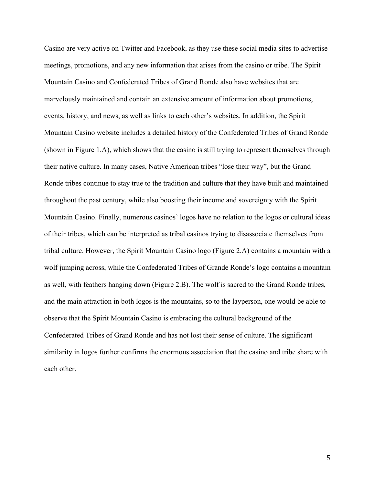Casino are very active on Twitter and Facebook, as they use these social media sites to advertise meetings, promotions, and any new information that arises from the casino or tribe. The Spirit Mountain Casino and Confederated Tribes of Grand Ronde also have websites that are marvelously maintained and contain an extensive amount of information about promotions, events, history, and news, as well as links to each other's websites. In addition, the Spirit Mountain Casino website includes a detailed history of the Confederated Tribes of Grand Ronde (shown in Figure 1.A), which shows that the casino is still trying to represent themselves through their native culture. In many cases, Native American tribes "lose their way", but the Grand Ronde tribes continue to stay true to the tradition and culture that they have built and maintained throughout the past century, while also boosting their income and sovereignty with the Spirit Mountain Casino. Finally, numerous casinos' logos have no relation to the logos or cultural ideas of their tribes, which can be interpreted as tribal casinos trying to disassociate themselves from tribal culture. However, the Spirit Mountain Casino logo (Figure 2.A) contains a mountain with a wolf jumping across, while the Confederated Tribes of Grande Ronde's logo contains a mountain as well, with feathers hanging down (Figure 2.B). The wolf is sacred to the Grand Ronde tribes, and the main attraction in both logos is the mountains, so to the layperson, one would be able to observe that the Spirit Mountain Casino is embracing the cultural background of the Confederated Tribes of Grand Ronde and has not lost their sense of culture. The significant similarity in logos further confirms the enormous association that the casino and tribe share with each other.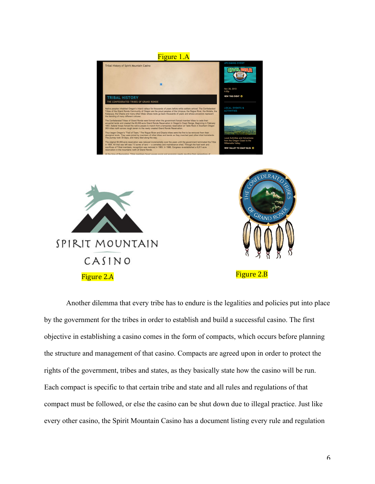

Another dilemma that every tribe has to endure is the legalities and policies put into place by the government for the tribes in order to establish and build a successful casino. The first objective in establishing a casino comes in the form of compacts, which occurs before planning the structure and management of that casino. Compacts are agreed upon in order to protect the rights of the government, tribes and states, as they basically state how the casino will be run. Each compact is specific to that certain tribe and state and all rules and regulations of that compact must be followed, or else the casino can be shut down due to illegal practice. Just like every other casino, the Spirit Mountain Casino has a document listing every rule and regulation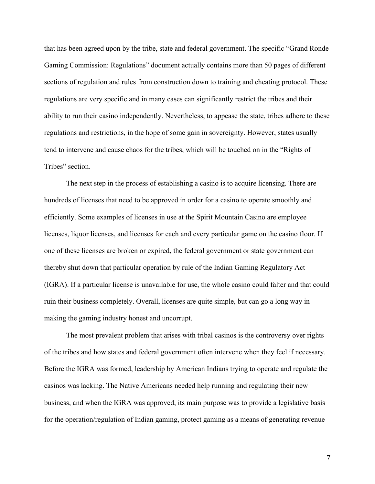that has been agreed upon by the tribe, state and federal government. The specific "Grand Ronde Gaming Commission: Regulations" document actually contains more than 50 pages of different sections of regulation and rules from construction down to training and cheating protocol. These regulations are very specific and in many cases can significantly restrict the tribes and their ability to run their casino independently. Nevertheless, to appease the state, tribes adhere to these regulations and restrictions, in the hope of some gain in sovereignty. However, states usually tend to intervene and cause chaos for the tribes, which will be touched on in the "Rights of Tribes" section.

The next step in the process of establishing a casino is to acquire licensing. There are hundreds of licenses that need to be approved in order for a casino to operate smoothly and efficiently. Some examples of licenses in use at the Spirit Mountain Casino are employee licenses, liquor licenses, and licenses for each and every particular game on the casino floor. If one of these licenses are broken or expired, the federal government or state government can thereby shut down that particular operation by rule of the Indian Gaming Regulatory Act (IGRA). If a particular license is unavailable for use, the whole casino could falter and that could ruin their business completely. Overall, licenses are quite simple, but can go a long way in making the gaming industry honest and uncorrupt.

The most prevalent problem that arises with tribal casinos is the controversy over rights of the tribes and how states and federal government often intervene when they feel if necessary. Before the IGRA was formed, leadership by American Indians trying to operate and regulate the casinos was lacking. The Native Americans needed help running and regulating their new business, and when the IGRA was approved, its main purpose was to provide a legislative basis for the operation/regulation of Indian gaming, protect gaming as a means of generating revenue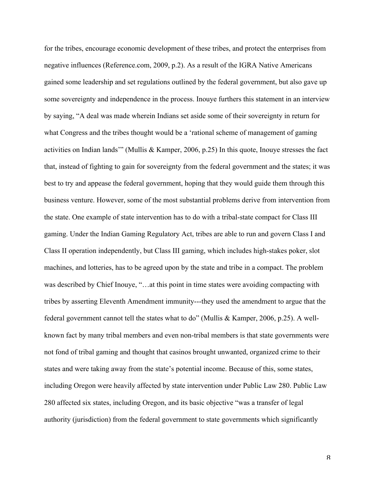for the tribes, encourage economic development of these tribes, and protect the enterprises from negative influences (Reference.com, 2009, p.2). As a result of the IGRA Native Americans gained some leadership and set regulations outlined by the federal government, but also gave up some sovereignty and independence in the process. Inouye furthers this statement in an interview by saying, "A deal was made wherein Indians set aside some of their sovereignty in return for what Congress and the tribes thought would be a 'rational scheme of management of gaming activities on Indian lands'" (Mullis & Kamper, 2006, p.25) In this quote, Inouye stresses the fact that, instead of fighting to gain for sovereignty from the federal government and the states; it was best to try and appease the federal government, hoping that they would guide them through this business venture. However, some of the most substantial problems derive from intervention from the state. One example of state intervention has to do with a tribal-state compact for Class III gaming. Under the Indian Gaming Regulatory Act, tribes are able to run and govern Class I and Class II operation independently, but Class III gaming, which includes high-stakes poker, slot machines, and lotteries, has to be agreed upon by the state and tribe in a compact. The problem was described by Chief Inouye, "…at this point in time states were avoiding compacting with tribes by asserting Eleventh Amendment immunity---they used the amendment to argue that the federal government cannot tell the states what to do" (Mullis & Kamper, 2006, p.25). A wellknown fact by many tribal members and even non-tribal members is that state governments were not fond of tribal gaming and thought that casinos brought unwanted, organized crime to their states and were taking away from the state's potential income. Because of this, some states, including Oregon were heavily affected by state intervention under Public Law 280. Public Law 280 affected six states, including Oregon, and its basic objective "was a transfer of legal authority (jurisdiction) from the federal government to state governments which significantly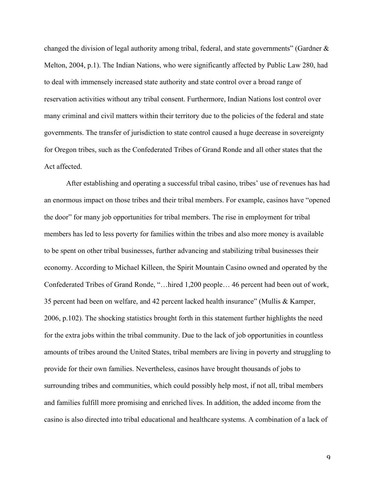changed the division of legal authority among tribal, federal, and state governments" (Gardner  $\&$ Melton, 2004, p.1). The Indian Nations, who were significantly affected by Public Law 280, had to deal with immensely increased state authority and state control over a broad range of reservation activities without any tribal consent. Furthermore, Indian Nations lost control over many criminal and civil matters within their territory due to the policies of the federal and state governments. The transfer of jurisdiction to state control caused a huge decrease in sovereignty for Oregon tribes, such as the Confederated Tribes of Grand Ronde and all other states that the Act affected.

After establishing and operating a successful tribal casino, tribes' use of revenues has had an enormous impact on those tribes and their tribal members. For example, casinos have "opened the door" for many job opportunities for tribal members. The rise in employment for tribal members has led to less poverty for families within the tribes and also more money is available to be spent on other tribal businesses, further advancing and stabilizing tribal businesses their economy. According to Michael Killeen, the Spirit Mountain Casino owned and operated by the Confederated Tribes of Grand Ronde, "…hired 1,200 people… 46 percent had been out of work, 35 percent had been on welfare, and 42 percent lacked health insurance" (Mullis & Kamper, 2006, p.102). The shocking statistics brought forth in this statement further highlights the need for the extra jobs within the tribal community. Due to the lack of job opportunities in countless amounts of tribes around the United States, tribal members are living in poverty and struggling to provide for their own families. Nevertheless, casinos have brought thousands of jobs to surrounding tribes and communities, which could possibly help most, if not all, tribal members and families fulfill more promising and enriched lives. In addition, the added income from the casino is also directed into tribal educational and healthcare systems. A combination of a lack of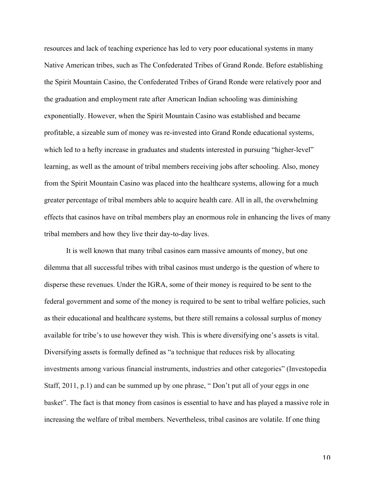resources and lack of teaching experience has led to very poor educational systems in many Native American tribes, such as The Confederated Tribes of Grand Ronde. Before establishing the Spirit Mountain Casino, the Confederated Tribes of Grand Ronde were relatively poor and the graduation and employment rate after American Indian schooling was diminishing exponentially. However, when the Spirit Mountain Casino was established and became profitable, a sizeable sum of money was re-invested into Grand Ronde educational systems, which led to a hefty increase in graduates and students interested in pursuing "higher-level" learning, as well as the amount of tribal members receiving jobs after schooling. Also, money from the Spirit Mountain Casino was placed into the healthcare systems, allowing for a much greater percentage of tribal members able to acquire health care. All in all, the overwhelming effects that casinos have on tribal members play an enormous role in enhancing the lives of many tribal members and how they live their day-to-day lives.

It is well known that many tribal casinos earn massive amounts of money, but one dilemma that all successful tribes with tribal casinos must undergo is the question of where to disperse these revenues. Under the IGRA, some of their money is required to be sent to the federal government and some of the money is required to be sent to tribal welfare policies, such as their educational and healthcare systems, but there still remains a colossal surplus of money available for tribe's to use however they wish. This is where diversifying one's assets is vital. Diversifying assets is formally defined as "a technique that reduces risk by allocating investments among various financial instruments, industries and other categories" (Investopedia Staff, 2011, p.1) and can be summed up by one phrase, " Don't put all of your eggs in one basket". The fact is that money from casinos is essential to have and has played a massive role in increasing the welfare of tribal members. Nevertheless, tribal casinos are volatile. If one thing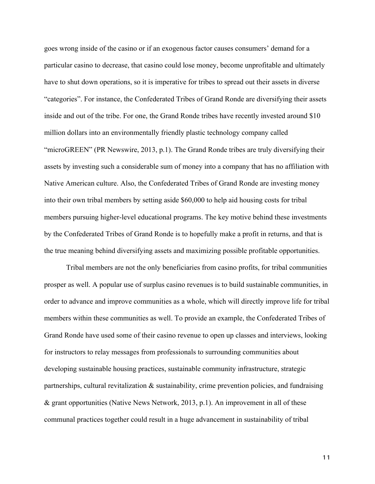goes wrong inside of the casino or if an exogenous factor causes consumers' demand for a particular casino to decrease, that casino could lose money, become unprofitable and ultimately have to shut down operations, so it is imperative for tribes to spread out their assets in diverse "categories". For instance, the Confederated Tribes of Grand Ronde are diversifying their assets inside and out of the tribe. For one, the Grand Ronde tribes have recently invested around \$10 million dollars into an environmentally friendly plastic technology company called "microGREEN" (PR Newswire, 2013, p.1). The Grand Ronde tribes are truly diversifying their assets by investing such a considerable sum of money into a company that has no affiliation with Native American culture. Also, the Confederated Tribes of Grand Ronde are investing money into their own tribal members by setting aside \$60,000 to help aid housing costs for tribal members pursuing higher-level educational programs. The key motive behind these investments by the Confederated Tribes of Grand Ronde is to hopefully make a profit in returns, and that is the true meaning behind diversifying assets and maximizing possible profitable opportunities.

Tribal members are not the only beneficiaries from casino profits, for tribal communities prosper as well. A popular use of surplus casino revenues is to build sustainable communities, in order to advance and improve communities as a whole, which will directly improve life for tribal members within these communities as well. To provide an example, the Confederated Tribes of Grand Ronde have used some of their casino revenue to open up classes and interviews, looking for instructors to relay messages from professionals to surrounding communities about developing sustainable housing practices, sustainable community infrastructure, strategic partnerships, cultural revitalization  $\&$  sustainability, crime prevention policies, and fundraising & grant opportunities (Native News Network, 2013, p.1). An improvement in all of these communal practices together could result in a huge advancement in sustainability of tribal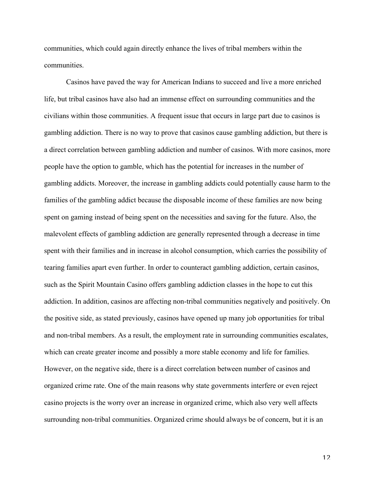communities, which could again directly enhance the lives of tribal members within the communities.

Casinos have paved the way for American Indians to succeed and live a more enriched life, but tribal casinos have also had an immense effect on surrounding communities and the civilians within those communities. A frequent issue that occurs in large part due to casinos is gambling addiction. There is no way to prove that casinos cause gambling addiction, but there is a direct correlation between gambling addiction and number of casinos. With more casinos, more people have the option to gamble, which has the potential for increases in the number of gambling addicts. Moreover, the increase in gambling addicts could potentially cause harm to the families of the gambling addict because the disposable income of these families are now being spent on gaming instead of being spent on the necessities and saving for the future. Also, the malevolent effects of gambling addiction are generally represented through a decrease in time spent with their families and in increase in alcohol consumption, which carries the possibility of tearing families apart even further. In order to counteract gambling addiction, certain casinos, such as the Spirit Mountain Casino offers gambling addiction classes in the hope to cut this addiction. In addition, casinos are affecting non-tribal communities negatively and positively. On the positive side, as stated previously, casinos have opened up many job opportunities for tribal and non-tribal members. As a result, the employment rate in surrounding communities escalates, which can create greater income and possibly a more stable economy and life for families. However, on the negative side, there is a direct correlation between number of casinos and organized crime rate. One of the main reasons why state governments interfere or even reject casino projects is the worry over an increase in organized crime, which also very well affects surrounding non-tribal communities. Organized crime should always be of concern, but it is an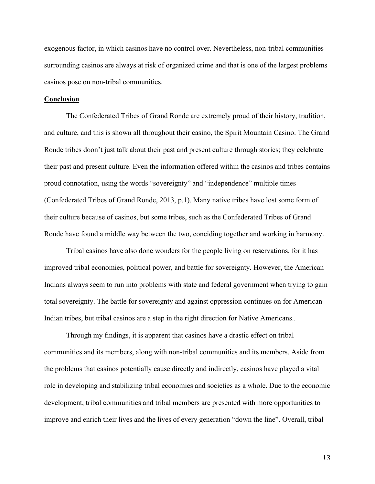exogenous factor, in which casinos have no control over. Nevertheless, non-tribal communities surrounding casinos are always at risk of organized crime and that is one of the largest problems casinos pose on non-tribal communities.

## **Conclusion**

The Confederated Tribes of Grand Ronde are extremely proud of their history, tradition, and culture, and this is shown all throughout their casino, the Spirit Mountain Casino. The Grand Ronde tribes doon't just talk about their past and present culture through stories; they celebrate their past and present culture. Even the information offered within the casinos and tribes contains proud connotation, using the words "sovereignty" and "independence" multiple times (Confederated Tribes of Grand Ronde, 2013, p.1). Many native tribes have lost some form of their culture because of casinos, but some tribes, such as the Confederated Tribes of Grand Ronde have found a middle way between the two, conciding together and working in harmony.

Tribal casinos have also done wonders for the people living on reservations, for it has improved tribal economies, political power, and battle for sovereignty. However, the American Indians always seem to run into problems with state and federal government when trying to gain total sovereignty. The battle for sovereignty and against oppression continues on for American Indian tribes, but tribal casinos are a step in the right direction for Native Americans..

Through my findings, it is apparent that casinos have a drastic effect on tribal communities and its members, along with non-tribal communities and its members. Aside from the problems that casinos potentially cause directly and indirectly, casinos have played a vital role in developing and stabilizing tribal economies and societies as a whole. Due to the economic development, tribal communities and tribal members are presented with more opportunities to improve and enrich their lives and the lives of every generation "down the line". Overall, tribal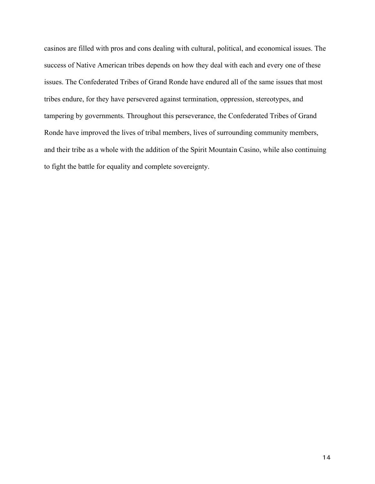casinos are filled with pros and cons dealing with cultural, political, and economical issues. The success of Native American tribes depends on how they deal with each and every one of these issues. The Confederated Tribes of Grand Ronde have endured all of the same issues that most tribes endure, for they have persevered against termination, oppression, stereotypes, and tampering by governments. Throughout this perseverance, the Confederated Tribes of Grand Ronde have improved the lives of tribal members, lives of surrounding community members, and their tribe as a whole with the addition of the Spirit Mountain Casino, while also continuing to fight the battle for equality and complete sovereignty.